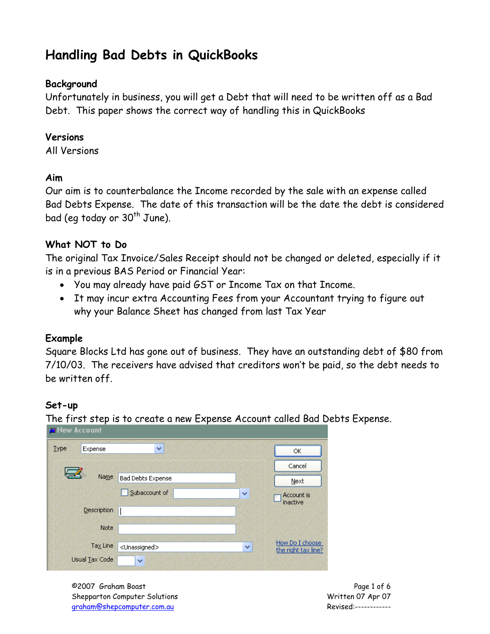# **Handling Bad Debts in QuickBooks**

### **Background**

Unfortunately in business, you will get a Debt that will need to be written off as a Bad Debt. This paper shows the correct way of handling this in QuickBooks

#### **Versions**

All Versions

#### **Aim**

Our aim is to counterbalance the Income recorded by the sale with an expense called Bad Debts Expense. The date of this transaction will be the date the debt is considered bad (eq today or  $30<sup>th</sup>$  June).

#### **What NOT to Do**

The original Tax Invoice/Sales Receipt should not be changed or deleted, especially if it is in a previous BAS Period or Financial Year:

- You may already have paid GST or Income Tax on that Income.
- It may incur extra Accounting Fees from your Accountant trying to figure out why your Balance Sheet has changed from last Tax Year

#### **Example**

Square Blocks Ltd has gone out of business. They have an outstanding debt of \$80 from 7/10/03. The receivers have advised that creditors won't be paid, so the debt needs to be written off.

#### **Set-up**

The first step is to create a new Expense Account called Bad Debts Expense.

| <b>Type</b><br>Expense | ×                         |              | ОК                                     |
|------------------------|---------------------------|--------------|----------------------------------------|
|                        |                           |              | Cancel                                 |
| Name                   | <b>Bad Debts Expense</b>  |              | Next                                   |
|                        | Subaccount of             | $\checkmark$ | Account is                             |
| Description            |                           |              | inactive                               |
| Note                   |                           |              |                                        |
| Tax Line               | <unassigned></unassigned> | ×            | How Do I choose<br>the right tax line? |
| <b>Usual Tax Code</b>  | ×                         |              |                                        |

©2007 Graham Boast Page 1 of 6 Shepparton Computer Solutions Written 07 Apr 07 graham@shepcomputer.com.au Revised:------------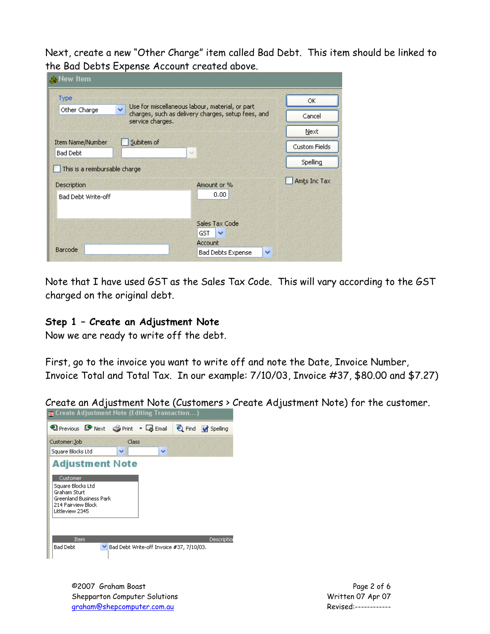Next, create a new "Other Charge" item called Bad Debt. This item should be linked to the Bad Debts Expense Account created above.

| <b>R</b> New Item                          |                                          |                                                                                                       |               |
|--------------------------------------------|------------------------------------------|-------------------------------------------------------------------------------------------------------|---------------|
| Type                                       |                                          |                                                                                                       | OK            |
| Other Charge                               | $\ddot{\phantom{1}}$<br>service charges. | Use for miscellaneous labour, material, or part<br>charges, such as delivery charges, setup fees, and |               |
|                                            |                                          |                                                                                                       | Next          |
| <b>Item Name/Number</b><br><b>Bad Debt</b> | Subitem of                               | $\sim$                                                                                                | Custom Fields |
| This is a reimbursable charge              |                                          |                                                                                                       | Spelling      |
| Description                                |                                          | Amount or %                                                                                           | Amts Inc Tax  |
| <b>Bad Debt Write-off</b>                  |                                          | 0.00                                                                                                  |               |
|                                            |                                          | Sales Tax Code                                                                                        |               |
|                                            |                                          | GST.<br>$\checkmark$                                                                                  |               |
| Barcode                                    |                                          | <b>Account</b><br><b>Bad Debts Expense</b><br>×                                                       |               |

Note that I have used GST as the Sales Tax Code. This will vary according to the GST charged on the original debt.

#### **Step 1 – Create an Adjustment Note**

Now we are ready to write off the debt.

First, go to the invoice you want to write off and note the Date, Invoice Number, Invoice Total and Total Tax. In our example: 7/10/03, Invoice #37, \$80.00 and \$7.27)

Create an Adjustment Note (Customers > Create Adjustment Note) for the customer.



©2007 Graham Boast Page 2 of 6 Shepparton Computer Solutions Written 07 Apr 07 graham@shepcomputer.com.au Revised:------------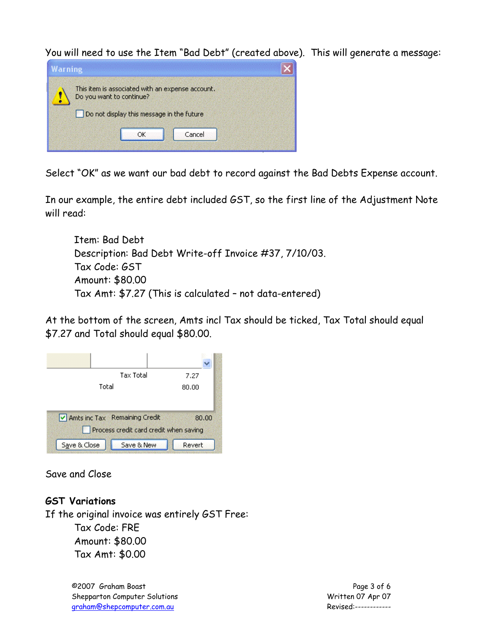You will need to use the Item "Bad Debt" (created above). This will generate a message:



Select "OK" as we want our bad debt to record against the Bad Debts Expense account.

In our example, the entire debt included GST, so the first line of the Adjustment Note will read:

Item: Bad Debt Description: Bad Debt Write-off Invoice #37, 7/10/03. Tax Code: GST Amount: \$80.00 Tax Amt: \$7.27 (This is calculated – not data-entered)

At the bottom of the screen, Amts incl Tax should be ticked, Tax Total should equal \$7.27 and Total should equal \$80.00.



Save and Close

#### **GST Variations**

If the original invoice was entirely GST Free:

Tax Code: FRE Amount: \$80.00 Tax Amt: \$0.00

©2007 Graham Boast Page 3 of 6 Shepparton Computer Solutions Notifiant Computer Solutions Note that Minister Computer Solutions Note that Minister Computer Solutions North Computer Computer Solutions North Computer Solutions North Computer Solutions Nor graham@shepcomputer.com.au Revised:------------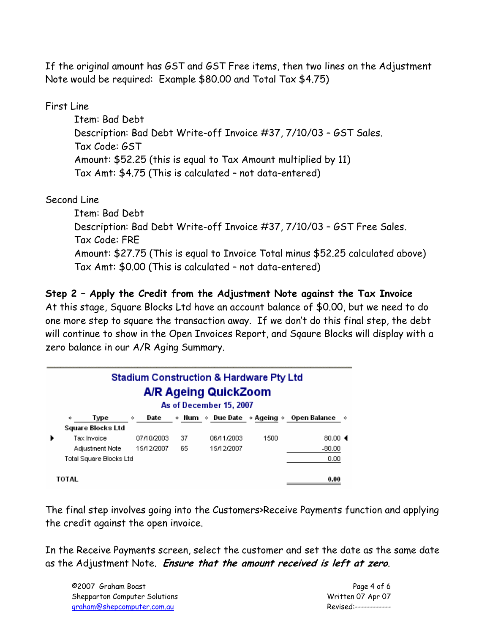If the original amount has GST and GST Free items, then two lines on the Adjustment Note would be required: Example \$80.00 and Total Tax \$4.75)

First Line

Item: Bad Debt Description: Bad Debt Write-off Invoice #37, 7/10/03 – GST Sales. Tax Code: GST Amount: \$52.25 (this is equal to Tax Amount multiplied by 11) Tax Amt: \$4.75 (This is calculated – not data-entered)

## Second Line

Item: Bad Debt Description: Bad Debt Write-off Invoice #37, 7/10/03 – GST Free Sales. Tax Code: FRE Amount: \$27.75 (This is equal to Invoice Total minus \$52.25 calculated above) Tax Amt: \$0.00 (This is calculated – not data-entered)

## **Step 2 – Apply the Credit from the Adjustment Note against the Tax Invoice**

At this stage, Square Blocks Ltd have an account balance of \$0.00, but we need to do one more step to square the transaction away. If we don't do this final step, the debt will continue to show in the Open Invoices Report, and Sqaure Blocks will display with a zero balance in our A/R Aging Summary.

|   | <b>Stadium Construction &amp; Hardware Pty Ltd</b><br>A/R Ageing QuickZoom<br>As of December 15, 2007 |            |    |            |      |                                                                                |  |
|---|-------------------------------------------------------------------------------------------------------|------------|----|------------|------|--------------------------------------------------------------------------------|--|
|   | Type<br>♦                                                                                             | Date<br>♦  |    |            |      | $\diamond$ Num $\diamond$ Due Date $\diamond$ Ageing $\diamond$ Open Balance . |  |
|   | Square Blocks Ltd                                                                                     |            |    |            |      |                                                                                |  |
| ▶ | Tax Invoice.                                                                                          | 07/10/2003 | 37 | 06/11/2003 | 1500 | 80.00 $\triangleleft$                                                          |  |
|   | Adjustment Note                                                                                       | 15/12/2007 | 65 | 15/12/2007 |      | $-80.00$                                                                       |  |
|   | Total Square Blocks Ltd                                                                               |            |    |            |      | 0.00                                                                           |  |
|   | TOTAL                                                                                                 |            |    |            |      | 0.00                                                                           |  |

The final step involves going into the Customers>Receive Payments function and applying the credit against the open invoice.

In the Receive Payments screen, select the customer and set the date as the same date as the Adjustment Note. **Ensure that the amount received is left at zero**.

©2007 Graham Boast Page 4 of 6 Shepparton Computer Solutions Notifiant Computer Solutions Note that Minister Computer Solutions Note that Minister Computer Solutions North Computer Computer Solutions North Computer Solutions North Computer Solutions Nor graham@shepcomputer.com.au Revised:------------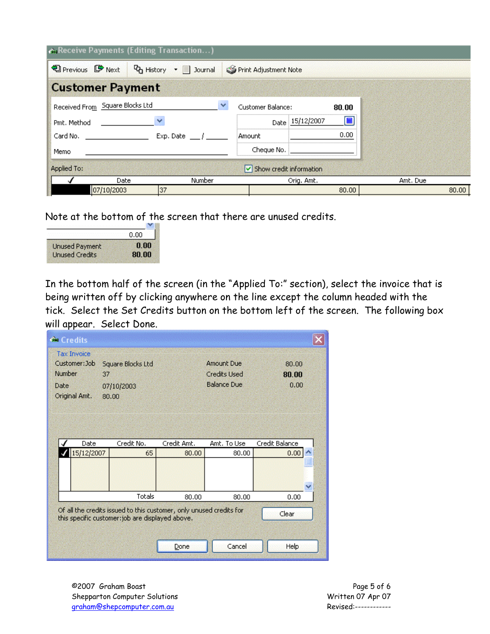|                                 | Receive Payments (Editing Transaction)                   |                            |                |
|---------------------------------|----------------------------------------------------------|----------------------------|----------------|
| <b>D</b> Previous ■ Next        | $\mathbf{Q}_{\mathbf{D}}$ History $\mathbf{P}$   Journal | Print Adjustment Note      |                |
| <b>Customer Payment</b>         |                                                          |                            |                |
| Received From Square Blocks Ltd |                                                          | Customer Balance:<br>80.00 |                |
| Pmt. Method                     | ×                                                        | Date 15/12/2007            | $\blacksquare$ |
| Card No.                        | Exp. Date $\frac{1}{2}$                                  | Amount                     | 0.00           |
| Memo                            |                                                          | Cheque No.                 |                |
| Applied To:                     |                                                          | Show credit information    |                |
| Date                            | Number                                                   | Orig. Amt.                 | Amt. Due       |
| 07/10/2003                      | 37                                                       |                            | 80.00<br>80.00 |

Note at the bottom of the screen that there are unused credits.

|                       | 0.00  |
|-----------------------|-------|
| <b>Unused Payment</b> | 0.00  |
| <b>Unused Credits</b> | 80.00 |

In the bottom half of the screen (in the "Applied To:" section), select the invoice that is being written off by clicking anywhere on the line except the column headed with the tick. Select the Set Credits button on the bottom left of the screen. The following box will appear. Select Done.

|                                                                                                                                  | <b>Credits</b>                      |                     |             |                     |                |
|----------------------------------------------------------------------------------------------------------------------------------|-------------------------------------|---------------------|-------------|---------------------|----------------|
|                                                                                                                                  | <b>Tax Invoice</b><br>Customer: Job | Square Blocks Ltd   |             | <b>Amount Due</b>   | 80,00          |
| Number                                                                                                                           |                                     | 37                  |             | <b>Credits Used</b> | 80.00          |
| Date                                                                                                                             | Original Amt.                       | 07/10/2003<br>80.00 |             | <b>Balance Due</b>  | 0.00           |
|                                                                                                                                  | Date                                | Credit No.          | Credit Amt. | Amt. To Use         | Credit Balance |
|                                                                                                                                  | 15/12/2007                          | 65                  | 80,00       | 80.00               | 0.00           |
|                                                                                                                                  |                                     |                     |             |                     | Ÿ              |
|                                                                                                                                  |                                     | Totals              | 80.00       | 80.00               | 0.00           |
| Of all the credits issued to this customer, only unused credits for<br>Clear<br>this specific customer: job are displayed above. |                                     |                     |             |                     |                |
|                                                                                                                                  |                                     |                     |             |                     |                |

©2007 Graham Boast Page 5 of 6 Shepparton Computer Solutions and the Computer Solutions of the Computer Solutions of Apr 07 Apr 07 Apr 07 Apr 07 Apr 07 Apr 07 Apr 07 Apr 07 Apr 07 Apr 07 Apr 07 Apr 07 Apr 07 Apr 07 Apr 07 Apr 07 Apr 07 Apr 07 Apr 07 Apr graham@shepcomputer.com.au Revised:------------